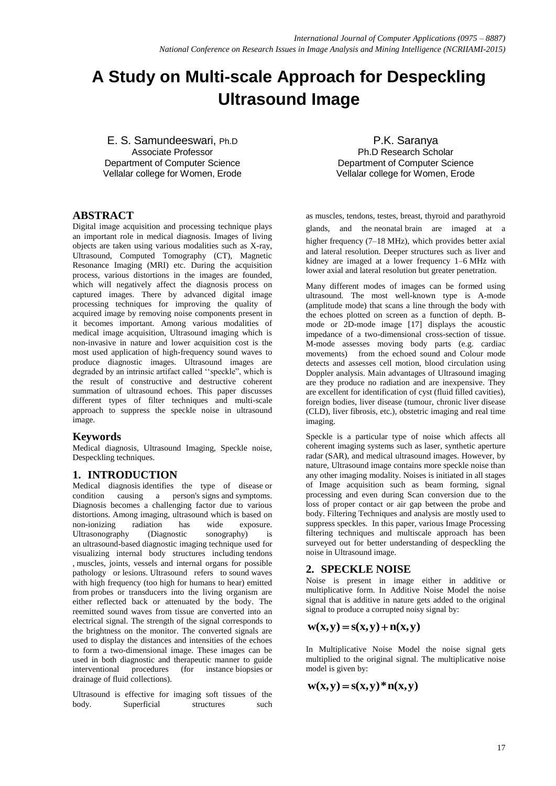# **A Study on Multi-scale Approach for Despeckling Ultrasound Image**

E. S. Samundeeswari, Ph.D Associate Professor Department of Computer Science Vellalar college for Women, Erode

P.K. Saranya Ph.D Research Scholar Department of Computer Science Vellalar college for Women, Erode

## **ABSTRACT**

Digital image acquisition and processing technique plays an important role in medical diagnosis. Images of living objects are taken using various modalities such as X-ray, Ultrasound, Computed Tomography (CT), Magnetic Resonance Imaging (MRI) etc. During the acquisition process, various distortions in the images are founded, which will negatively affect the diagnosis process on captured images. There by advanced digital image processing techniques for improving the quality of acquired image by removing noise components present in it becomes important. Among various modalities of medical image acquisition, Ultrasound imaging which is non-invasive in nature and lower acquisition cost is the most used application of high-frequency sound waves to produce diagnostic images. Ultrasound images are degraded by an intrinsic artifact called ''speckle", which is the result of constructive and destructive coherent summation of ultrasound echoes. This paper discusses different types of filter techniques and multi-scale approach to suppress the speckle noise in ultrasound image.

## **Keywords**

Medical diagnosis, Ultrasound Imaging, Speckle noise, Despeckling techniques.

## **1. INTRODUCTION**

Medical diagnosis identifies the type of disease or condition causing a person's signs and symptoms. Diagnosis becomes a challenging factor due to various distortions. Among imaging, ultrasound which is based on<br>non-ionizing radiation has wide exposure. non-ionizing radiation has wide exposure. Ultrasonography (Diagnostic sonography) is an ultrasound-based diagnostic imaging technique used for visualizing internal body structures including tendons , muscles, joints, vessels and internal organs for possible pathology or lesions. Ultrasound refers to sound waves with high frequency (too high for humans to hear) emitted from probes or transducers into the living organism are either reflected back or attenuated by the body. The reemitted sound waves from tissue are converted into an electrical signal. The strength of the signal corresponds to the brightness on the monitor. The converted signals are used to display the distances and intensities of the echoes to form a two-dimensional image. These images can be used in both diagnostic and therapeutic manner to guide interventional procedures (for instance biopsies or drainage of fluid collections).

Ultrasound is effective for imaging soft tissues of the body. Superficial structures such as muscles, tendons, testes, breast, thyroid and parathyroid glands, and the neonatal brain are imaged at a higher frequency (7–18 MHz), which provides better axial and lateral resolution. Deeper structures such as liver and kidney are imaged at a lower frequency 1–6 MHz with lower axial and lateral resolution but greater penetration.

Many different modes of images can be formed using ultrasound. The most well-known type is A-mode (amplitude mode) that scans a line through the body with the echoes plotted on screen as a function of depth. Bmode or 2D-mode image [17] displays the acoustic impedance of a two-dimensional cross-section of tissue. M-mode assesses moving body parts (e.g. cardiac movements) from the echoed sound and Colour mode detects and assesses cell motion, blood circulation using Doppler analysis. Main advantages of Ultrasound imaging are they produce no radiation and are inexpensive. They are excellent for identification of cyst (fluid filled cavities), foreign bodies, liver disease (tumour, chronic liver disease (CLD), liver fibrosis, etc.), obstetric imaging and real time imaging.

Speckle is a particular type of noise which affects all coherent imaging systems such as laser, synthetic aperture radar (SAR), and medical ultrasound images. However, by nature, Ultrasound image contains more speckle noise than any other imaging modality. Noises is initiated in all stages of Image acquisition such as beam forming, signal processing and even during Scan conversion due to the loss of proper contact or air gap between the probe and body. Filtering Techniques and analysis are mostly used to suppress speckles. In this paper, various Image Processing filtering techniques and multiscale approach has been surveyed out for better understanding of despeckling the noise in Ultrasound image.

## **2. SPECKLE NOISE**

Noise is present in image either in additive or multiplicative form. In Additive Noise Model the noise signal that is additive in nature gets added to the original signal to produce a corrupted noisy signal by:

## $w(x,y) = s(x,y) + n(x,y)$

In Multiplicative Noise Model the noise signal gets multiplied to the original signal. The multiplicative noise model is given by:

## $w(x,y) = s(x,y)^*n(x,y)$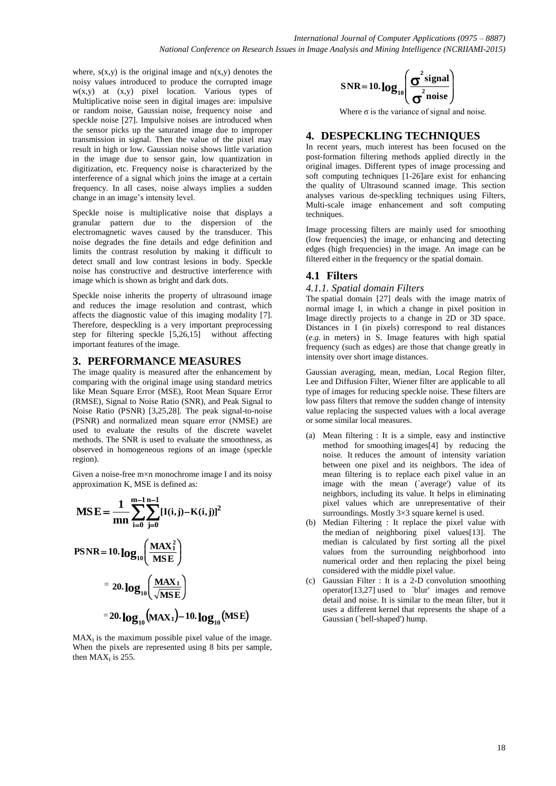where,  $s(x,y)$  is the original image and  $n(x,y)$  denotes the noisy values introduced to produce the corrupted image  $w(x,y)$  at  $(x,y)$  pixel location. Various types of Multiplicative noise seen in digital images are: impulsive or random noise, Gaussian noise, frequency noise and speckle noise [27]. Impulsive noises are introduced when the sensor picks up the saturated image due to improper transmission in signal. Then the value of the pixel may result in high or low. Gaussian noise shows little variation in the image due to sensor gain, low quantization in digitization, etc. Frequency noise is characterized by the interference of a signal which joins the image at a certain frequency. In all cases, noise always implies a sudden change in an image's intensity level.

Speckle noise is multiplicative noise that displays a granular pattern due to the dispersion of the electromagnetic waves caused by the transducer. This noise degrades the fine details and edge definition and limits the contrast resolution by making it difficult to detect small and low contrast lesions in body. Speckle noise has constructive and destructive interference with image which is shown as bright and dark dots.

Speckle noise inherits the property of ultrasound image and reduces the image resolution and contrast, which affects the diagnostic value of this imaging modality [7]. Therefore, despeckling is a very important preprocessing step for filtering speckle [5,26,15] without affecting important features of the image.

## **3. PERFORMANCE MEASURES**

The image quality is measured after the enhancement by comparing with the original image using standard metrics like Mean Square Error (MSE), Root Mean Square Error (RMSE), Signal to Noise Ratio (SNR), and Peak Signal to Noise Ratio (PSNR) [3,25,28]. The peak signal-to-noise (PSNR) and normalized mean square error (NMSE) are used to evaluate the results of the discrete wavelet methods. The SNR is used to evaluate the smoothness, as observed in homogeneous regions of an image (speckle region).

Given a noise-free m×n monochrome image I and its noisy approximation K, MSE is defined as:

$$
MSE = \frac{1}{mn} \sum_{i=0}^{m-1} \sum_{j=0}^{n-1} [I(i,j) - K(i,j)]^2
$$
  
\n
$$
PSNR = 10. \log_{10} \left( \frac{MAX_1^2}{MSE} \right)
$$
  
\n
$$
= 20. \log_{10} \left( \frac{MAX_1}{\sqrt{MSE}} \right)
$$
  
\n
$$
= 20. \log_{10} (MAX_1) - 10. \log_{10} (MSE)
$$

 $MAX_{I}$  is the maximum possible pixel value of the image. When the pixels are represented using 8 bits per sample, then  $MAX_I$  is 255.

$$
SNR = 10. \log_{10} \left( \frac{\sigma^2 \text{signal}}{\sigma^2 \text{noise}} \right)
$$

Where  $\sigma$  is the variance of signal and noise.

# **4. DESPECKLING TECHNIQUES**

In recent years, much interest has been focused on the post-formation filtering methods applied directly in the original images. Different types of image processing and soft computing techniques [1-26]are exist for enhancing the quality of Ultrasound scanned image. This section analyses various de-speckling techniques using Filters, Multi-scale image enhancement and soft computing techniques.

Image processing filters are mainly used for smoothing (low frequencies) the image, or enhancing and detecting edges (high frequencies) in the image. An image can be filtered either in the frequency or the spatial domain.

# **4.1 Filters**

## *4.1.1. Spatial domain Filters*

The spatial domain [27] deals with the image matrix of normal image I, in which a change in pixel position in Image directly projects to a change in 2D or 3D space. Distances in I (in pixels) correspond to real distances (*e.g.* in meters) in S. Image features with high spatial frequency (such as edges) are those that change greatly in intensity over short image distances.

Gaussian averaging, mean, median, Local Region filter, Lee and Diffusion Filter, Wiener filter are applicable to all type of images for reducing speckle noise. These filters are low pass filters that remove the sudden change of intensity value replacing the suspected values with a local average or some similar local measures.

- (a) Mean filtering : It is a simple, easy and instinctive method for smoothing images[4] by reducing the noise*.* It reduces the amount of intensity variation between one pixel and its neighbors. The idea of mean filtering is to replace each pixel value in an image with the mean (`average') value of its neighbors, including its value. It helps in eliminating pixel values which are unrepresentative of their surroundings. Mostly  $3\times3$  square kernel is used.
- (b) Median Filtering : It replace the pixel value with the median of neighboring pixel values[13]. The median is calculated by first sorting all the pixel values from the surrounding neighborhood into numerical order and then replacing the pixel being considered with the middle pixel value.
- (c) Gaussian Filter : It is a 2-D convolution smoothing operator[13,27] used to `blur' images and remove detail and noise. It is similar to the mean filter, but it uses a different kernel that represents the shape of a Gaussian (`bell-shaped') hump.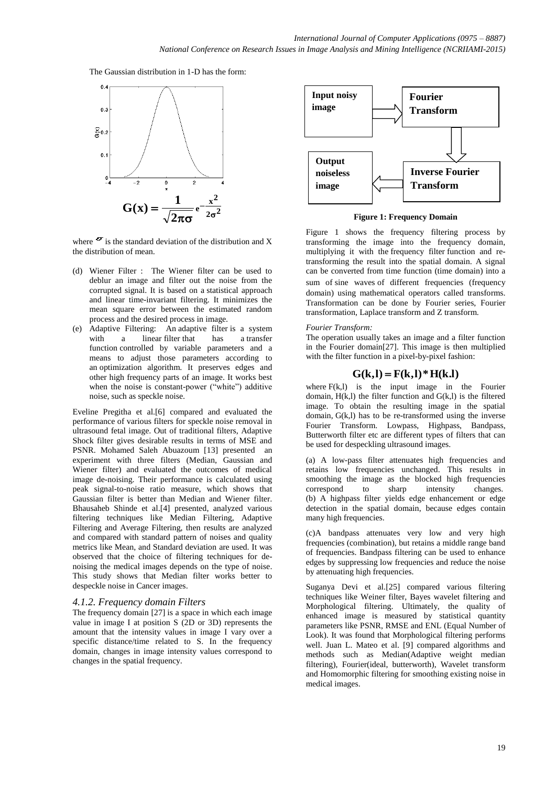The Gaussian distribution in 1-D has the form:



where  $\sigma$  is the standard deviation of the distribution and X the distribution of mean.

- (d) Wiener Filter : The Wiener filter can be used to deblur an image and filter out the noise from the corrupted signal. It is based on a statistical approach and linear time-invariant filtering. It minimizes the mean square error between the estimated random process and the desired process in image.
- (e) Adaptive Filtering: An adaptive filter is a system with a linear filter that has a transfer function controlled by variable parameters and a means to adjust those parameters according to an optimization algorithm. It preserves edges and other high frequency parts of an image. It works best when the noise is constant-power ("white") additive noise, such as speckle noise.

Eveline Pregitha et al.[6] compared and evaluated the performance of various filters for speckle noise removal in ultrasound fetal image. Out of traditional filters, Adaptive Shock filter gives desirable results in terms of MSE and PSNR. Mohamed Saleh Abuazoum [13] presented an experiment with three filters (Median, Gaussian and Wiener filter) and evaluated the outcomes of medical image de-noising. Their performance is calculated using peak signal-to-noise ratio measure, which shows that Gaussian filter is better than Median and Wiener filter. Bhausaheb Shinde et al.[4] presented, analyzed various filtering techniques like Median Filtering, Adaptive Filtering and Average Filtering, then results are analyzed and compared with standard pattern of noises and quality metrics like Mean, and Standard deviation are used. It was observed that the choice of filtering techniques for denoising the medical images depends on the type of noise. This study shows that Median filter works better to despeckle noise in Cancer images.

#### *4.1.2. Frequency domain Filters*

The frequency domain [27] is a space in which each image value in image I at position S (2D or 3D) represents the amount that the intensity values in image I vary over a specific distance/time related to S. In the frequency domain, changes in image intensity values correspond to changes in the spatial frequency.



**Figure 1: Frequency Domain**

Figure 1 shows the frequency filtering process by transforming the image into the frequency domain, multiplying it with the frequency filter function and retransforming the result into the spatial domain. A signal can be converted from time function (time domain) into a sum of sine waves of different frequencies (frequency domain) using mathematical operators called transforms. Transformation can be done by Fourier series, Fourier transformation, Laplace transform and Z transform.

#### *Fourier Transform:*

The operation usually takes an image and a filter function in the Fourier domain[27]. This image is then multiplied with the filter function in a pixel-by-pixel fashion:

## $G(k,l) = F(k,l) * H(k,l)$

where  $F(k, l)$  is the input image in the Fourier domain, H(k,l) the filter function and G(k,l) is the filtered image. To obtain the resulting image in the spatial domain,  $G(k,l)$  has to be re-transformed using the inverse Fourier Transform. Lowpass, Highpass, Bandpass, Butterworth filter etc are different types of filters that can be used for despeckling ultrasound images.

(a) A low-pass filter attenuates high frequencies and retains low frequencies unchanged. This results in smoothing the image as the blocked high frequencies correspond to sharp intensity changes. correspond to sharp intensity changes. (b) A highpass filter yields edge enhancement or edge detection in the spatial domain, because edges contain many high frequencies.

(c)A bandpass attenuates very low and very high frequencies (combination), but retains a middle range band of frequencies. Bandpass filtering can be used to enhance edges by suppressing low frequencies and reduce the noise by attenuating high frequencies.

Suganya Devi et al.[25] compared various filtering techniques like Weiner filter, Bayes wavelet filtering and Morphological filtering. Ultimately, the quality of enhanced image is measured by statistical quantity parameters like PSNR, RMSE and ENL (Equal Number of Look). It was found that Morphological filtering performs well. Juan L. Mateo et al. [9] compared algorithms and methods such as Median(Adaptive weight median filtering), Fourier(ideal, butterworth), Wavelet transform and Homomorphic filtering for smoothing existing noise in medical images.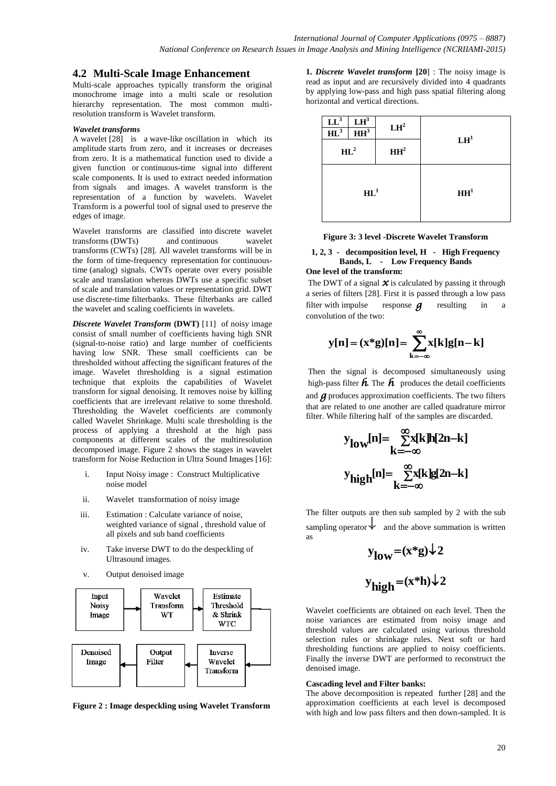## **4.2 Multi-Scale Image Enhancement**

Multi-scale approaches typically transform the original monochrome image into a multi scale or resolution hierarchy representation. The most common multiresolution transform is Wavelet transform.

#### *Wavelet transforms*

A wavelet [28] is a wave-like oscillation in which its amplitude starts from zero, and it increases or decreases from zero. It is a mathematical function used to divide a given function or continuous-time signal into different scale components. It is used to extract needed information from signals and images. A wavelet transform is the representation of a function by wavelets. Wavelet Transform is a powerful tool of signal used to preserve the edges of image.

Wavelet transforms are classified into discrete wavelet transforms (DWTs) and continuous wavelet transforms (CWTs) [28]. All wavelet transforms will be in the form of time-frequency representation for continuoustime (analog) signals. CWTs operate over every possible scale and translation whereas DWTs use a specific subset of scale and translation values or representation grid. DWT use discrete-time filterbanks. These filterbanks are called the wavelet and scaling coefficients in wavelets.

*Discrete Wavelet Transform* **(DWT)** [11] of noisy image consist of small number of coefficients having high SNR (signal-to-noise ratio) and large number of coefficients having low SNR. These small coefficients can be thresholded without affecting the significant features of the image. Wavelet thresholding is a signal estimation technique that exploits the capabilities of Wavelet transform for signal denoising. It removes noise by killing coefficients that are irrelevant relative to some threshold. Thresholding the Wavelet coefficients are commonly called Wavelet Shrinkage. Multi scale thresholding is the process of applying a threshold at the high pass components at different scales of the multiresolution decomposed image. Figure 2 shows the stages in wavelet transform for Noise Reduction in Ultra Sound Images [16]:

- i. Input Noisy image : Construct Multiplicative noise model
- ii. Wavelet transformation of noisy image
- iii. Estimation : Calculate variance of noise, weighted variance of signal , threshold value of all pixels and sub band coefficients
- iv. Take inverse DWT to do the despeckling of Ultrasound images.
- v. Output denoised image



**Figure 2 : Image despeckling using Wavelet Transform**

**1.** *Discrete Wavelet transform* **[20**] : The noisy image is read as input and are recursively divided into 4 quadrants by applying low-pass and high pass spatial filtering along horizontal and vertical directions.

| $LL^3$<br>$HL^3$ | $LH^3$<br>HH <sup>3</sup> | LH <sup>2</sup> | LH <sup>1</sup> |
|------------------|---------------------------|-----------------|-----------------|
| $HL^2$           |                           | HH <sup>2</sup> |                 |
| $HL^1$           |                           |                 | HH <sup>1</sup> |

**Figure 3: 3 level -Discrete Wavelet Transform**

#### **1, 2, 3 - decomposition level, H - High Frequency Bands, L - Low Frequency Bands One level of the transform:**

The DWT of a signal  $\chi$  is calculated by passing it through a series of filters [28]. First it is passed through a low pass filter with impulse response  $\boldsymbol{q}$  resulting in a convolution of the two:

$$
\mathbf{y[n]} = (\mathbf{x}^*\mathbf{g})[\mathbf{n}] = \sum_{\mathbf{k}=-\infty}^{\infty} \mathbf{x}[\mathbf{k}] \mathbf{g}[\mathbf{n}-\mathbf{k}]
$$

Then the signal is decomposed simultaneously using high-pass filter  $\hat{h}$ . The  $\hat{h}$  produces the detail coefficients and *g* produces approximation coefficients. The two filters that are related to one another are called quadrature mirror filter. While filtering half of the samples are discarded.

$$
y_{low}[n] = \sum_{k=-\infty}^{\infty} x[k]h[2n-k]
$$

$$
y_{high}[n] = \sum_{k=-\infty}^{\infty} x[k]g[2n-k]
$$

The filter outputs are then sub sampled by 2 with the sub sampling operator  $\downarrow$  and the above summation is written as

$$
y_{low} = (x * g) \downarrow 2
$$
  

$$
y_{high} = (x * h) \downarrow 2
$$

Wavelet coefficients are obtained on each level. Then the noise variances are estimated from noisy image and threshold values are calculated using various threshold selection rules or shrinkage rules. Next soft or hard thresholding functions are applied to noisy coefficients. Finally the inverse DWT are performed to reconstruct the denoised image.

#### **Cascading level and Filter banks:**

The above decomposition is repeated further [28] and the approximation coefficients at each level is decomposed with high and low pass filters and then down-sampled. It is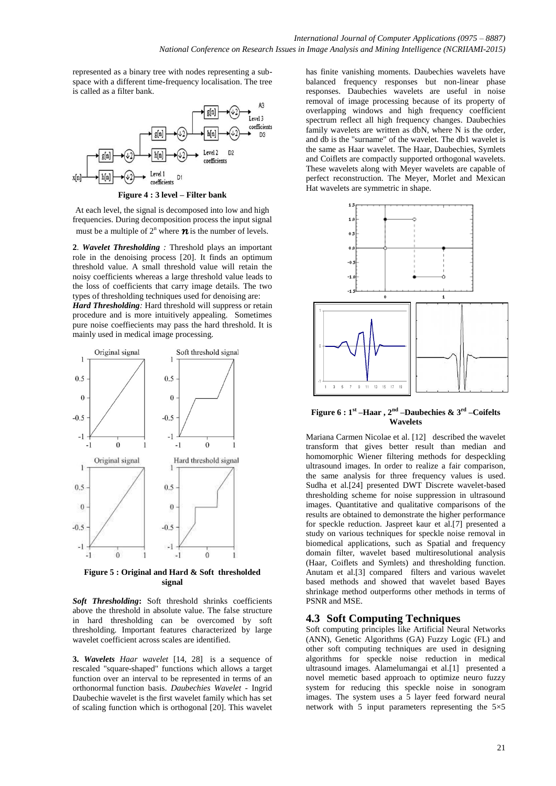represented as a binary tree with nodes representing a subspace with a different time-frequency localisation. The tree is called as a filter bank.



**Figure 4 : 3 level – Filter bank**

At each level, the signal is decomposed into low and high frequencies. During decomposition process the input signal must be a multiple of  $2^n$  where  $\boldsymbol{n}$  is the number of levels.

**2**. *Wavelet Thresholding :* Threshold plays an important role in the denoising process [20]. It finds an optimum threshold value. A small threshold value will retain the noisy coefficients whereas a large threshold value leads to the loss of coefficients that carry image details. The two types of thresholding techniques used for denoising are:

*Hard Thresholding:* Hard threshold will suppress or retain procedure and is more intuitively appealing. Sometimes pure noise coeffiecients may pass the hard threshold. It is mainly used in medical image processing.



**Figure 5 : Original and Hard & Soft thresholded signal**

*Soft Thresholding***:** Soft threshold shrinks coefficients above the threshold in absolute value. The false structure in hard thresholding can be overcomed by soft thresholding. Important features characterized by large wavelet coefficient across scales are identified.

**3.** *Wavelets Haar wavelet* [14, 28] is a sequence of rescaled "square-shaped" functions which allows a target function over an interval to be represented in terms of an orthonormal function basis. *Daubechies Wavelet* - Ingrid Daubechie wavelet is the first wavelet family which has set of scaling function which is orthogonal [20]. This wavelet

has finite vanishing moments. Daubechies wavelets have balanced frequency responses but non-linear phase responses. Daubechies wavelets are useful in noise removal of image processing because of its property of overlapping windows and high frequency coefficient spectrum reflect all high frequency changes. Daubechies family wavelets are written as dbN, where N is the order, and db is the "surname" of the wavelet. The db1 wavelet is the same as Haar wavelet. The Haar, Daubechies, Symlets and Coiflets are compactly supported orthogonal wavelets. These wavelets along with Meyer wavelets are capable of perfect reconstruction. The Meyer, Morlet and Mexican Hat wavelets are symmetric in shape.



**Figure 6 : 1st –Haar , 2nd –Daubechies & 3rd –Coifelts Wavelets**

Mariana Carmen Nicolae et al. [12] described the wavelet transform that gives better result than median and homomorphic Wiener filtering methods for despeckling ultrasound images. In order to realize a fair comparison, the same analysis for three frequency values is used. Sudha et al.[24] presented DWT Discrete wavelet-based thresholding scheme for noise suppression in ultrasound images. Quantitative and qualitative comparisons of the results are obtained to demonstrate the higher performance for speckle reduction. Jaspreet kaur et al.[7] presented a study on various techniques for speckle noise removal in biomedical applications, such as Spatial and frequency domain filter, wavelet based multiresolutional analysis (Haar, Coiflets and Symlets) and thresholding function. Anutam et al.[3] compared filters and various wavelet based methods and showed that wavelet based Bayes shrinkage method outperforms other methods in terms of PSNR and MSE.

# **4.3 Soft Computing Techniques**

Soft computing principles like Artificial Neural Networks (ANN), Genetic Algorithms (GA) Fuzzy Logic (FL) and other soft computing techniques are used in designing algorithms for speckle noise reduction in medical ultrasound images. Alamelumangai et al.[1] presented a novel memetic based approach to optimize neuro fuzzy system for reducing this speckle noise in sonogram images. The system uses a 5 layer feed forward neural network with 5 input parameters representing the  $5\times5$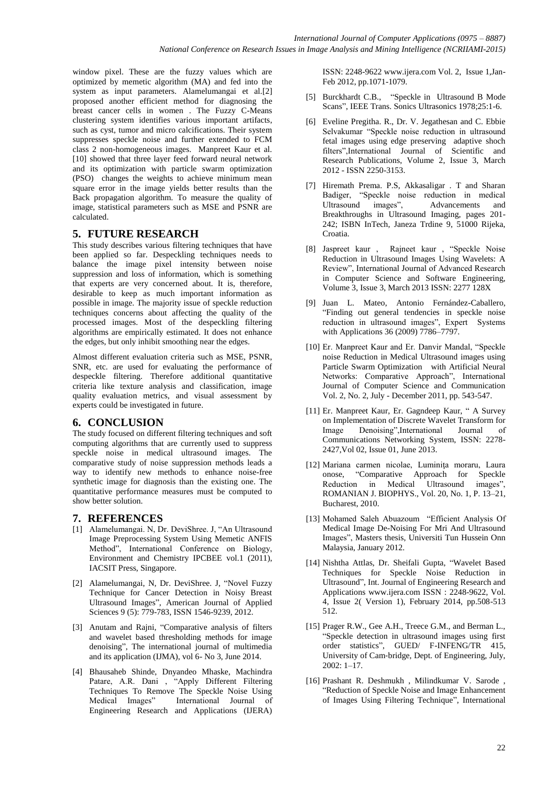window pixel. These are the fuzzy values which are optimized by memetic algorithm (MA) and fed into the system as input parameters. Alamelumangai et al.[2] proposed another efficient method for diagnosing the breast cancer cells in women . The Fuzzy C-Means clustering system identifies various important artifacts, such as cyst, tumor and micro calcifications. Their system suppresses speckle noise and further extended to FCM class 2 non-homogeneous images. Manpreet Kaur et al. [10] showed that three layer feed forward neural network and its optimization with particle swarm optimization (PSO) changes the weights to achieve minimum mean square error in the image yields better results than the Back propagation algorithm. To measure the quality of image, statistical parameters such as MSE and PSNR are calculated.

## **5. FUTURE RESEARCH**

This study describes various filtering techniques that have been applied so far. Despeckling techniques needs to balance the image pixel intensity between noise suppression and loss of information, which is something that experts are very concerned about. It is, therefore, desirable to keep as much important information as possible in image. The majority issue of speckle reduction techniques concerns about affecting the quality of the processed images. Most of the despeckling filtering algorithms are empirically estimated. It does not enhance the edges, but only inhibit smoothing near the edges.

Almost different evaluation criteria such as MSE, PSNR, SNR, etc. are used for evaluating the performance of despeckle filtering. Therefore additional quantitative criteria like texture analysis and classification, image quality evaluation metrics, and visual assessment by experts could be investigated in future.

## **6. CONCLUSION**

The study focused on different filtering techniques and soft computing algorithms that are currently used to suppress speckle noise in medical ultrasound images. The comparative study of noise suppression methods leads a way to identify new methods to enhance noise-free synthetic image for diagnosis than the existing one. The quantitative performance measures must be computed to show better solution.

# **7. REFERENCES**

- [1] Alamelumangai. N, Dr. DeviShree. J, "An Ultrasound Image Preprocessing System Using Memetic ANFIS Method", International Conference on Biology, Environment and Chemistry IPCBEE vol.1 (2011), IACSIT Press, Singapore.
- [2] Alamelumangai, N, Dr. DeviShree. J, "Novel Fuzzy Technique for Cancer Detection in Noisy Breast Ultrasound Images", American Journal of Applied Sciences 9 (5): 779-783, ISSN 1546-9239, 2012.
- [3] Anutam and Rajni, "Comparative analysis of filters and wavelet based thresholding methods for image denoising", The international journal of multimedia and its application (IJMA), vol 6- No 3, June 2014.
- [4] Bhausaheb Shinde, Dnyandeo Mhaske, Machindra Patare, A.R. Dani , "Apply Different Filtering Techniques To Remove The Speckle Noise Using International Journal of Engineering Research and Applications (IJERA)

ISSN: 2248-9622 www.ijera.com Vol. 2, Issue 1,Jan-Feb 2012, pp.1071-1079.

- [5] Burckhardt C.B., "Speckle in Ultrasound B Mode Scans", IEEE Trans. Sonics Ultrasonics 1978;25:1-6.
- [6] Eveline Pregitha. R., Dr. V. Jegathesan and C. Ebbie Selvakumar "Speckle noise reduction in ultrasound fetal images using edge preserving adaptive shoch filters",International Journal of Scientific and Research Publications, Volume 2, Issue 3, March 2012 - ISSN 2250-3153.
- [7] Hiremath Prema. P.S, Akkasaligar . T and Sharan Badiger, "Speckle noise reduction in medical Ultrasound images", Advancements and Advancements and Breakthroughs in Ultrasound Imaging, pages 201- 242; ISBN InTech, Janeza Trdine 9, 51000 Rijeka, Croatia.
- [8] Jaspreet kaur , Rajneet kaur , "Speckle Noise Reduction in Ultrasound Images Using Wavelets: A Review", International Journal of Advanced Research in Computer Science and Software Engineering, Volume 3, Issue 3, March 2013 ISSN: 2277 128X
- [9] Juan L. Mateo, Antonio Fernández-Caballero, "Finding out general tendencies in speckle noise reduction in ultrasound images", Expert Systems with Applications 36 (2009) 7786–7797.
- [10] Er. Manpreet Kaur and Er. Danvir Mandal, "Speckle noise Reduction in Medical Ultrasound images using Particle Swarm Optimization with Artificial Neural Networks: Comparative Approach", International Journal of Computer Science and Communication Vol. 2, No. 2, July - December 2011, pp. 543-547.
- [11] Er. Manpreet Kaur, Er. Gagndeep Kaur, " A Survey on Implementation of Discrete Wavelet Transform for Image Denoising",International Journal of Communications Networking System, ISSN: 2278- 2427,Vol 02, Issue 01, June 2013.
- [12] Mariana carmen nicolae, Luminiţa moraru, Laura onose, "Comparative Approach for Speckle Reduction in Medical Ultrasound images", ROMANIAN J. BIOPHYS., Vol. 20, No. 1, P. 13–21, Bucharest, 2010.
- [13] Mohamed Saleh Abuazoum "Efficient Analysis Of Medical Image De-Noising For Mri And Ultrasound Images", Masters thesis, Universiti Tun Hussein Onn Malaysia, January 2012.
- [14] Nishtha Attlas, Dr. Sheifali Gupta, "Wavelet Based Techniques for Speckle Noise Reduction in Ultrasound", Int. Journal of Engineering Research and Applications www.ijera.com ISSN : 2248-9622, Vol. 4, Issue 2( Version 1), February 2014, pp.508-513 512.
- [15] Prager R.W., Gee A.H., Treece G.M., and Berman L., "Speckle detection in ultrasound images using first order statistics", GUED/ F-INFENG/TR 415, University of Cam‐bridge, Dept. of Engineering, July, 2002: 1–17.
- [16] Prashant R. Deshmukh , Milindkumar V. Sarode , "Reduction of Speckle Noise and Image Enhancement of Images Using Filtering Technique", International